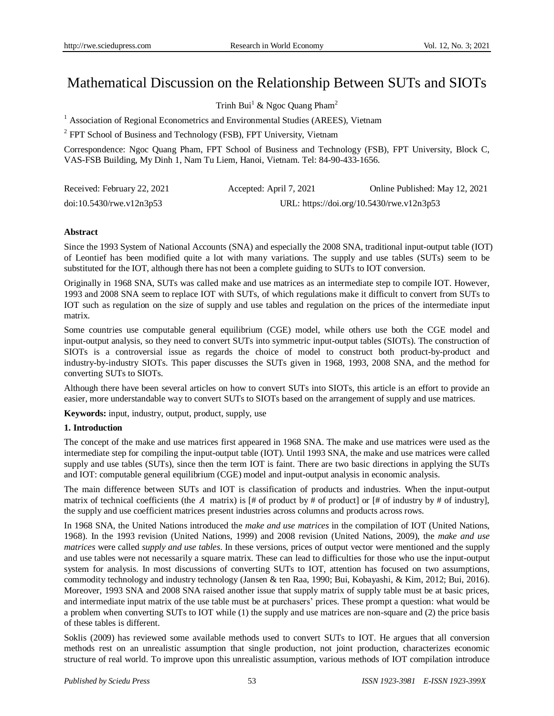# Mathematical Discussion on the Relationship Between SUTs and SIOTs

Trinh Bui<sup>1</sup> & Ngoc Quang Pham<sup>2</sup>

 $1$  Association of Regional Econometrics and Environmental Studies (AREES), Vietnam

<sup>2</sup> FPT School of Business and Technology (FSB), FPT University, Vietnam

Correspondence: Ngoc Quang Pham, FPT School of Business and Technology (FSB), FPT University, Block C, VAS-FSB Building, My Dinh 1, Nam Tu Liem, Hanoi, Vietnam. Tel: 84-90-433-1656.

| Received: February 22, 2021 | Accepted: April 7, 2021 | Online Published: May 12, 2021            |
|-----------------------------|-------------------------|-------------------------------------------|
| $doi:10.5430$ /rwe.v12n3p53 |                         | URL: https://doi.org/10.5430/rwe.v12n3p53 |

# **Abstract**

Since the 1993 System of National Accounts (SNA) and especially the 2008 SNA, traditional input-output table (IOT) of Leontief has been modified quite a lot with many variations. The supply and use tables (SUTs) seem to be substituted for the IOT, although there has not been a complete guiding to SUTs to IOT conversion.

Originally in 1968 SNA, SUTs was called make and use matrices as an intermediate step to compile IOT. However, 1993 and 2008 SNA seem to replace IOT with SUTs, of which regulations make it difficult to convert from SUTs to IOT such as regulation on the size of supply and use tables and regulation on the prices of the intermediate input matrix.

Some countries use computable general equilibrium (CGE) model, while others use both the CGE model and input-output analysis, so they need to convert SUTs into symmetric input-output tables (SIOTs). The construction of SIOTs is a controversial issue as regards the choice of model to construct both product-by-product and industry-by-industry SIOTs. This paper discusses the SUTs given in 1968, 1993, 2008 SNA, and the method for converting SUTs to SIOTs.

Although there have been several articles on how to convert SUTs into SIOTs, this article is an effort to provide an easier, more understandable way to convert SUTs to SIOTs based on the arrangement of supply and use matrices.

**Keywords:** input, industry, output, product, supply, use

# **1. Introduction**

The concept of the make and use matrices first appeared in 1968 SNA. The make and use matrices were used as the intermediate step for compiling the input-output table (IOT). Until 1993 SNA, the make and use matrices were called supply and use tables (SUTs), since then the term IOT is faint. There are two basic directions in applying the SUTs and IOT: computable general equilibrium (CGE) model and input-output analysis in economic analysis.

The main difference between SUTs and IOT is classification of products and industries. When the input-output matrix of technical coefficients (the A matrix) is  $\left[\frac{4}{7}\right]$  of product by # of product] or  $\left[\frac{4}{7}\right]$  of industry by # of industry], the supply and use coefficient matrices present industries across columns and products across rows.

In 1968 SNA, the United Nations introduced the *make and use matrices* in the compilation of IOT (United Nations, 1968). In the 1993 revision (United Nations, 1999) and 2008 revision (United Nations, 2009), the *make and use matrices* were called *supply and use tables*. In these versions, prices of output vector were mentioned and the supply and use tables were not necessarily a square matrix. These can lead to difficulties for those who use the input-output system for analysis. In most discussions of converting SUTs to IOT, attention has focused on two assumptions, commodity technology and industry technology (Jansen & ten Raa, 1990; Bui, Kobayashi, & Kim, 2012; Bui, 2016). Moreover, 1993 SNA and 2008 SNA raised another issue that supply matrix of supply table must be at basic prices, and intermediate input matrix of the use table must be at purchasers' prices. These prompt a question: what would be a problem when converting SUTs to IOT while (1) the supply and use matrices are non-square and (2) the price basis of these tables is different.

Soklis (2009) has reviewed some available methods used to convert SUTs to IOT. He argues that all conversion methods rest on an unrealistic assumption that single production, not joint production, characterizes economic structure of real world. To improve upon this unrealistic assumption, various methods of IOT compilation introduce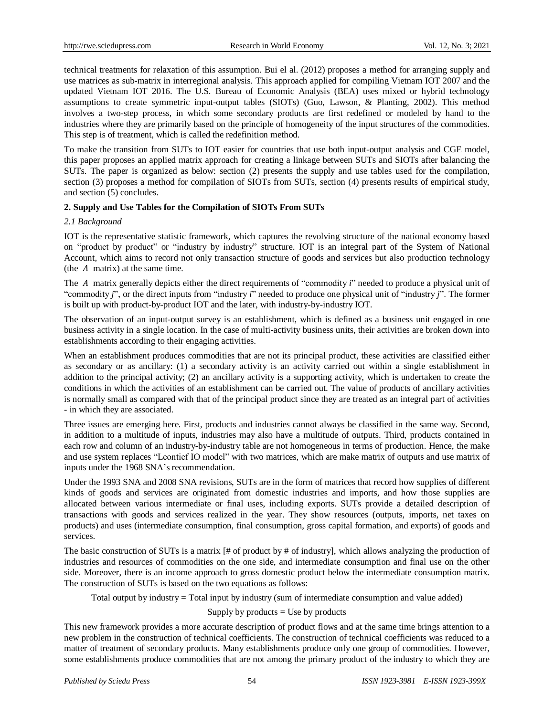technical treatments for relaxation of this assumption. Bui el al. (2012) proposes a method for arranging supply and use matrices as sub-matrix in interregional analysis. This approach applied for compiling Vietnam IOT 2007 and the updated Vietnam IOT 2016. The U.S. Bureau of Economic Analysis (BEA) uses mixed or hybrid technology assumptions to create symmetric input-output tables (SIOTs) (Guo, Lawson, & Planting, 2002). This method involves a two-step process, in which some secondary products are first redefined or modeled by hand to the industries where they are primarily based on the principle of homogeneity of the input structures of the commodities. This step is of treatment, which is called the redefinition method.

To make the transition from SUTs to IOT easier for countries that use both input-output analysis and CGE model, this paper proposes an applied matrix approach for creating a linkage between SUTs and SIOTs after balancing the SUTs. The paper is organized as below: section (2) presents the supply and use tables used for the compilation, section (3) proposes a method for compilation of SIOTs from SUTs, section (4) presents results of empirical study, and section (5) concludes.

# **2. Supply and Use Tables for the Compilation of SIOTs From SUTs**

# *2.1 Background*

IOT is the representative statistic framework, which captures the revolving structure of the national economy based on "product by product" or "industry by industry" structure. IOT is an integral part of the System of National Account, which aims to record not only transaction structure of goods and services but also production technology (the  $A$  matrix) at the same time.

The A matrix generally depicts either the direct requirements of "commodity *i*" needed to produce a physical unit of "commodity *j*", or the direct inputs from "industry *i*" needed to produce one physical unit of "industry *j*". The former is built up with product-by-product IOT and the later, with industry-by-industry IOT.

The observation of an input-output survey is an establishment, which is defined as a business unit engaged in one business activity in a single location. In the case of multi-activity business units, their activities are broken down into establishments according to their engaging activities.

When an establishment produces commodities that are not its principal product, these activities are classified either as secondary or as ancillary: (1) a secondary activity is an activity carried out within a single establishment in addition to the principal activity; (2) an ancillary activity is a supporting activity, which is undertaken to create the conditions in which the activities of an establishment can be carried out. The value of products of ancillary activities is normally small as compared with that of the principal product since they are treated as an integral part of activities - in which they are associated.

Three issues are emerging here. First, products and industries cannot always be classified in the same way. Second, in addition to a multitude of inputs, industries may also have a multitude of outputs. Third, products contained in each row and column of an industry-by-industry table are not homogeneous in terms of production. Hence, the make and use system replaces "Leontief IO model" with two matrices, which are make matrix of outputs and use matrix of inputs under the 1968 SNA's recommendation.

Under the 1993 SNA and 2008 SNA revisions, SUTs are in the form of matrices that record how supplies of different kinds of goods and services are originated from domestic industries and imports, and how those supplies are allocated between various intermediate or final uses, including exports. SUTs provide a detailed description of transactions with goods and services realized in the year. They show resources (outputs, imports, net taxes on products) and uses (intermediate consumption, final consumption, gross capital formation, and exports) of goods and services.

The basic construction of SUTs is a matrix  $[#$  of product by  $#$  of industry], which allows analyzing the production of industries and resources of commodities on the one side, and intermediate consumption and final use on the other side. Moreover, there is an income approach to gross domestic product below the intermediate consumption matrix. The construction of SUTs is based on the two equations as follows:

Total output by industry = Total input by industry (sum of intermediate consumption and value added)

# Supply by products  $=$  Use by products

This new framework provides a more accurate description of product flows and at the same time brings attention to a new problem in the construction of technical coefficients. The construction of technical coefficients was reduced to a matter of treatment of secondary products. Many establishments produce only one group of commodities. However, some establishments produce commodities that are not among the primary product of the industry to which they are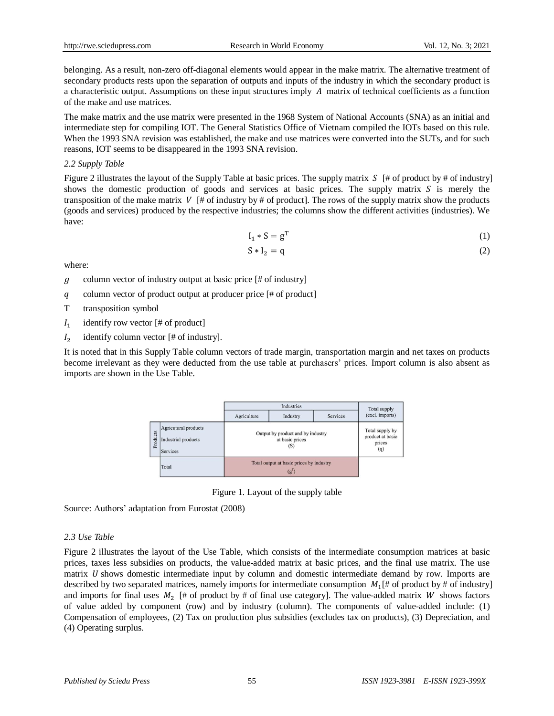belonging. As a result, non-zero off-diagonal elements would appear in the make matrix. The alternative treatment of secondary products rests upon the separation of outputs and inputs of the industry in which the secondary product is a characteristic output. Assumptions on these input structures imply  $\hat{A}$  matrix of technical coefficients as a function of the make and use matrices.

The make matrix and the use matrix were presented in the 1968 System of National Accounts (SNA) as an initial and intermediate step for compiling IOT. The General Statistics Office of Vietnam compiled the IOTs based on this rule. When the 1993 SNA revision was established, the make and use matrices were converted into the SUTs, and for such reasons, IOT seems to be disappeared in the 1993 SNA revision.

# *2.2 Supply Table*

Figure 2 illustrates the layout of the Supply Table at basic prices. The supply matrix  $S \upharpoonright$  of product by # of industry] shows the domestic production of goods and services at basic prices. The supply matrix  $S$  is merely the transposition of the make matrix  $V \upharpoonright #$  of industry by # of product]. The rows of the supply matrix show the products (goods and services) produced by the respective industries; the columns show the different activities (industries). We have:

$$
I_1 * S = g^T \tag{1}
$$

$$
S * I_2 = q \tag{2}
$$

where:

 $g$  column vector of industry output at basic price [# of industry]

- column vector of product output at producer price [# of product]
- T transposition symbol
- $I<sub>1</sub>$ identify row vector [# of product]
- $I<sub>2</sub>$ identify column vector [# of industry].

It is noted that in this Supply Table column vectors of trade margin, transportation margin and net taxes on products become irrelevant as they were deducted from the use table at purchasers' prices. Import column is also absent as imports are shown in the Use Table.



Figure 1. Layout of the supply table

Source: Authors' adaptation from Eurostat (2008)

# *2.3 Use Table*

Figure 2 illustrates the layout of the Use Table, which consists of the intermediate consumption matrices at basic prices, taxes less subsidies on products, the value-added matrix at basic prices, and the final use matrix. The use matrix  $U$  shows domestic intermediate input by column and domestic intermediate demand by row. Imports are described by two separated matrices, namely imports for intermediate consumption  $M_1$  (# of product by # of industry) and imports for final uses  $M_2$  [# of product by # of final use category]. The value-added matrix W shows factors of value added by component (row) and by industry (column). The components of value-added include: (1) Compensation of employees, (2) Tax on production plus subsidies (excludes tax on products), (3) Depreciation, and (4) Operating surplus.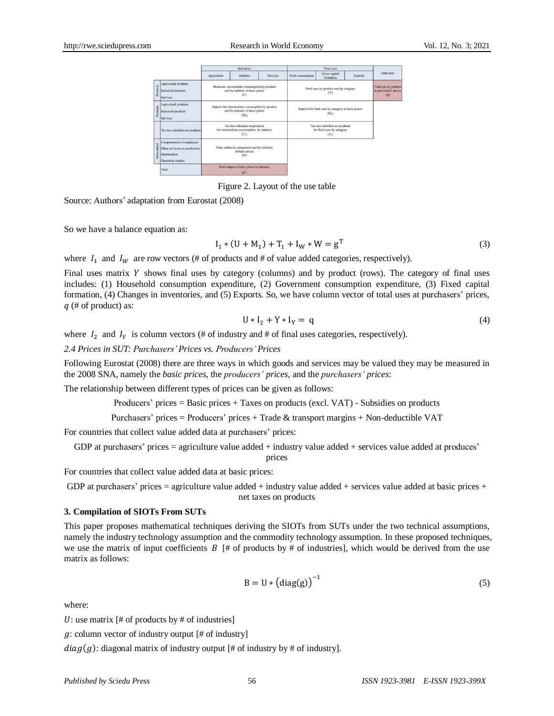|                |                                                                                                 |             | Industries                                                                                              |                 |                   | <b>Final uses</b>                                                                 |                |                                                      |
|----------------|-------------------------------------------------------------------------------------------------|-------------|---------------------------------------------------------------------------------------------------------|-----------------|-------------------|-----------------------------------------------------------------------------------|----------------|------------------------------------------------------|
|                |                                                                                                 | Agriculture | Industry                                                                                                | <b>Services</b> | Final consumption | Gross capital<br>formation                                                        | <b>Exports</b> | <b>Total uses</b>                                    |
| Products       | Agricutural products<br>Industrial products<br><b>Services</b>                                  |             | Domestic intermediate consumption by product<br>and by industry at basic prices<br>(U)                  |                 |                   | Final uses by product and by category<br>(Y)                                      |                | Total use by product<br>at purchasers' prices<br>(q) |
| Products       | Agricutural products<br>Industrial products<br><b>Services</b>                                  |             | Imports for intermediate consumption by product<br>and by industry at basic prices<br>(M <sub>1</sub> ) |                 |                   | Imports for final uses by category at basic prices<br>$(M_2)$                     |                |                                                      |
|                | Tax less subsidies on products                                                                  |             | Tax less subsidies on products<br>for intermediate consumption by industry<br>(T <sub>i</sub> )         |                 |                   | Tax less subsidies on products<br>for final uses by category<br>(T <sub>2</sub> ) |                |                                                      |
| added<br>Value | Compensation of employees<br>Other net taxes on production<br>Depreciation<br>Operating surplus |             | Value added by component and by industry,<br>at basic prices<br>$($ W)                                  |                 |                   |                                                                                   |                |                                                      |
|                | Total                                                                                           |             | Total output at basic prices by industry<br>(g')                                                        |                 |                   |                                                                                   |                |                                                      |

Figure 2. Layout of the use table

Source: Authors' adaptation from Eurostat (2008)

So we have a balance equation as:

$$
I_1 * (U + M_1) + T_1 + I_W * W = g^T
$$
 (3)

where  $I_1$  and  $I_W$  are row vectors (# of products and # of value added categories, respectively).

Final uses matrix  $Y$  shows final uses by category (columns) and by product (rows). The category of final uses includes: (1) Household consumption expenditure, (2) Government consumption expenditure, (3) Fixed capital formation, (4) Changes in inventories, and (5) Exports. So, we have column vector of total uses at purchasers' prices,  $q$  (# of product) as:

$$
U * I_2 + Y * I_Y = q \tag{4}
$$

where  $I_2$  and  $I_V$  is column vectors (# of industry and # of final uses categories, respectively).

*2.4 Prices in SUT: Purchasers'Prices vs. Producers'Prices*

Following Eurostat (2008) there are three ways in which goods and services may be valued they may be measured in the 2008 SNA, namely the *basic prices,* the *producers' prices*, and the *purchasers' prices*:

The relationship between different types of prices can be given as follows:

Producers' prices = Basic prices + Taxes on products (excl. VAT) - Subsidies on products

Purchasers' prices = Producers' prices + Trade & transport margins + Non-deductible VAT

For countries that collect value added data at purchasers' prices:

GDP at purchasers' prices = agriculture value added + industry value added + services value added at produces' prices

For countries that collect value added data at basic prices:

GDP at purchasers' prices = agriculture value added + industry value added + services value added at basic prices + net taxes on products

### **3. Compilation of SIOTs From SUTs**

This paper proposes mathematical techniques deriving the SIOTs from SUTs under the two technical assumptions, namely the industry technology assumption and the commodity technology assumption. In these proposed techniques, we use the matrix of input coefficients  $\hat{B}$  |# of products by # of industries], which would be derived from the use matrix as follows:

$$
B = U * (diag(g))^{-1}
$$
 (5)

where:

U: use matrix  $[# of products by # of industries]$ 

 $g$ : column vector of industry output [# of industry]

 $diag(g)$ : diagonal matrix of industry output [# of industry by # of industry].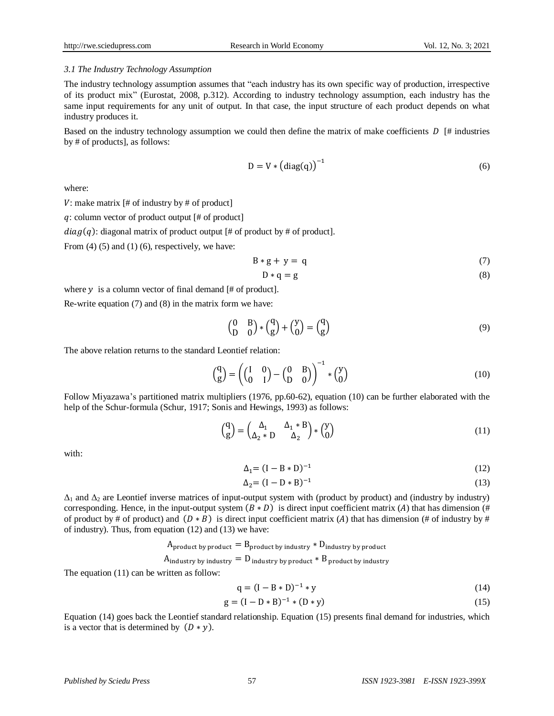#### *3.1 The Industry Technology Assumption*

The industry technology assumption assumes that "each industry has its own specific way of production, irrespective of its product mix" (Eurostat, 2008, p.312). According to industry technology assumption, each industry has the same input requirements for any unit of output. In that case, the input structure of each product depends on what industry produces it.

Based on the industry technology assumption we could then define the matrix of make coefficients  $D \upharpoonright \#$  industries by # of products], as follows:

$$
D = V * (diag(q))^{-1}
$$
 (6)

where:

 $V:$  make matrix [# of industry by # of product]

: column vector of product output [# of product]

 $diag(q)$ : diagonal matrix of product output [# of product by # of product].

From  $(4)$   $(5)$  and  $(1)$   $(6)$ , respectively, we have:

$$
B * g + y = q \tag{7}
$$

$$
D * q = g \tag{8}
$$

where  $y$  is a column vector of final demand [# of product].

Re-write equation (7) and (8) in the matrix form we have:

$$
\begin{pmatrix} 0 & B \\ D & 0 \end{pmatrix} * \begin{pmatrix} q \\ g \end{pmatrix} + \begin{pmatrix} y \\ 0 \end{pmatrix} = \begin{pmatrix} q \\ g \end{pmatrix}
$$
 (9)

The above relation returns to the standard Leontief relation:

$$
\begin{pmatrix} q \\ g \end{pmatrix} = \left( \begin{pmatrix} I & 0 \\ 0 & I \end{pmatrix} - \begin{pmatrix} 0 & B \\ D & 0 \end{pmatrix} \right)^{-1} * \begin{pmatrix} y \\ 0 \end{pmatrix} \tag{10}
$$

Follow Miyazawa's partitioned matrix multipliers (1976, pp.60-62), equation (10) can be further elaborated with the help of the Schur-formula (Schur, 1917; Sonis and Hewings, 1993) as follows:

$$
\begin{pmatrix} \mathbf{q} \\ \mathbf{g} \end{pmatrix} = \begin{pmatrix} \Delta_1 & \Delta_1 * \mathbf{B} \\ \Delta_2 * \mathbf{D} & \Delta_2 \end{pmatrix} * \begin{pmatrix} \mathbf{y} \\ \mathbf{0} \end{pmatrix} \tag{11}
$$

with:

$$
\Delta_1 = (I - B * D)^{-1}
$$
 (12)

$$
\Delta_2 = (I - D * B)^{-1} \tag{13}
$$

 $\Delta_1$  and  $\Delta_2$  are Leontief inverse matrices of input-output system with (product by product) and (industry by industry) corresponding. Hence, in the input-output system  $(B * D)$  is direct input coefficient matrix (A) that has dimension (# of product by # of product) and  $(D * B)$  is direct input coefficient matrix (A) that has dimension (# of industry by # of industry). Thus, from equation (12) and (13) we have:

 

The equation (11) can be written as follow:

$$
q = (I - B * D)^{-1} * y \tag{14}
$$

$$
g = (I - D * B)^{-1} * (D * y)
$$
 (15)

Equation (14) goes back the Leontief standard relationship. Equation (15) presents final demand for industries, which is a vector that is determined by  $(D * y)$ .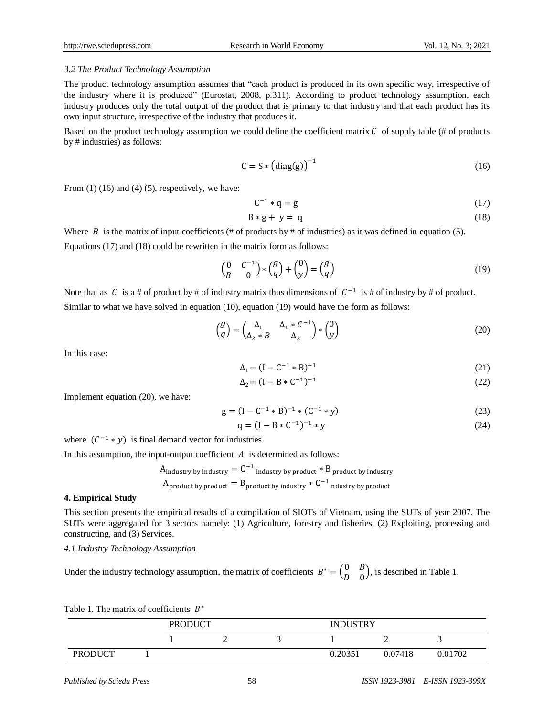#### *3.2 The Product Technology Assumption*

The product technology assumption assumes that "each product is produced in its own specific way, irrespective of the industry where it is produced" (Eurostat, 2008, p.311). According to product technology assumption, each industry produces only the total output of the product that is primary to that industry and that each product has its own input structure, irrespective of the industry that produces it.

Based on the product technology assumption we could define the coefficient matrix  $\mathcal C$  of supply table (# of products by # industries) as follows:

$$
C = S * (diag(g))^{-1}
$$
 (16)

From  $(1)$   $(16)$  and  $(4)$   $(5)$ , respectively, we have:

$$
C^{-1} * q = g \tag{17}
$$

$$
B * g + y = q \tag{18}
$$

Where B is the matrix of input coefficients (# of products by # of industries) as it was defined in equation (5). Equations (17) and (18) could be rewritten in the matrix form as follows:

$$
\begin{pmatrix} 0 & C^{-1} \\ B & 0 \end{pmatrix} * \begin{pmatrix} g \\ q \end{pmatrix} + \begin{pmatrix} 0 \\ y \end{pmatrix} = \begin{pmatrix} g \\ q \end{pmatrix}
$$
\n(19)

Note that as C is a # of product by # of industry matrix thus dimensions of  $C^{-1}$  is # of industry by # of product. Similar to what we have solved in equation (10), equation (19) would have the form as follows:

$$
\begin{pmatrix} g \\ q \end{pmatrix} = \begin{pmatrix} \Delta_1 & \Delta_1 * C^{-1} \\ \Delta_2 * B & \Delta_2 \end{pmatrix} * \begin{pmatrix} 0 \\ y \end{pmatrix} \tag{20}
$$

In this case:

$$
\Delta_1 = (I - C^{-1} * B)^{-1} \tag{21}
$$

$$
\Delta_2 = (I - B * C^{-1})^{-1} \tag{22}
$$

Implement equation (20), we have:

$$
g = (I - C^{-1} * B)^{-1} * (C^{-1} * y)
$$
\n(23)

$$
q = (I - B * C^{-1})^{-1} * y \tag{24}
$$

where  $(C^{-1} * y)$  is final demand vector for industries.

In this assumption, the input-output coefficient  $A$  is determined as follows:

$$
A_{\text{industry by industry}} = C^{-1} \text{ industry by product} * B_{\text{product by industry}}
$$
  
 
$$
A_{\text{product by product}} = B_{\text{product by industry}} * C^{-1} \text{industry by product}
$$

#### **4. Empirical Study**

This section presents the empirical results of a compilation of SIOTs of Vietnam, using the SUTs of year 2007. The SUTs were aggregated for 3 sectors namely: (1) Agriculture, forestry and fisheries, (2) Exploiting, processing and constructing, and (3) Services.

*4.1 Industry Technology Assumption*

Under the industry technology assumption, the matrix of coefficients  $B^* = \begin{pmatrix} 0 \\ 0 \end{pmatrix}$  $\begin{pmatrix} 0 & B \\ D & 0 \end{pmatrix}$ , is described in Table 1.

| Table 1. The matrix of coefficients $B^*$ |                |  |                 |         |         |
|-------------------------------------------|----------------|--|-----------------|---------|---------|
|                                           | <b>PRODUCT</b> |  | <b>INDUSTRY</b> |         |         |
|                                           |                |  |                 |         |         |
| <b>PRODUCT</b>                            |                |  | 0.20351         | 0.07418 | 0.01702 |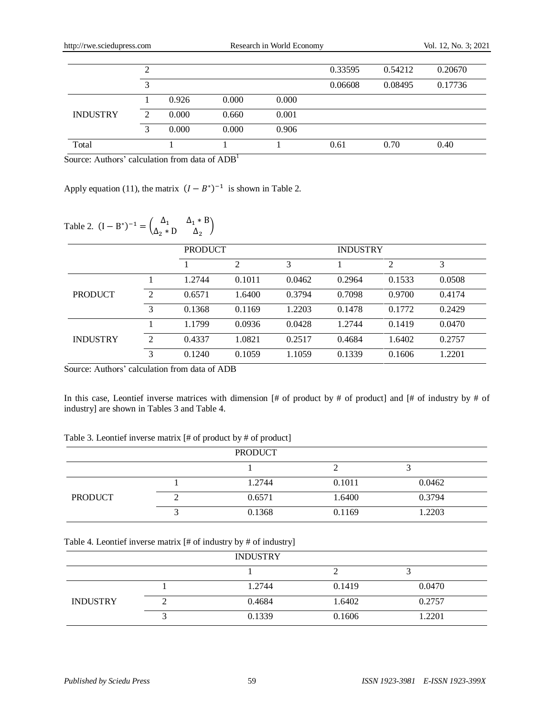| http://rwe.sciedupress.com |   |       |       | Research in World Economy |         |         | Vol. 12, No. 3; 2021 |  |
|----------------------------|---|-------|-------|---------------------------|---------|---------|----------------------|--|
|                            | 2 |       |       |                           | 0.33595 | 0.54212 | 0.20670              |  |
|                            | 3 |       |       |                           | 0.06608 | 0.08495 | 0.17736              |  |
|                            |   | 0.926 | 0.000 | 0.000                     |         |         |                      |  |
| <b>INDUSTRY</b>            | 2 | 0.000 | 0.660 | 0.001                     |         |         |                      |  |
|                            | 3 | 0.000 | 0.000 | 0.906                     |         |         |                      |  |
| Total                      |   |       |       |                           | 0.61    | 0.70    | 0.40                 |  |

Source: Authors' calculation from data of ADB<sup>1</sup>

Apply equation (11), the matrix  $(I - B^*)^{-1}$  is shown in Table 2.

# Table 2.  $(I - B^*)^{-1} = \begin{pmatrix} \Delta & 1 \\ 0 & 1 \end{pmatrix}$  $\begin{matrix}\n\Delta_1 & \Delta_1 \cdot \cdot \cdot & D \\
\Delta_2 \cdot \cdot & D & \Delta_2\n\end{matrix}$

|                 |                | <b>PRODUCT</b> |                |        | <b>INDUSTRY</b> |        |        |
|-----------------|----------------|----------------|----------------|--------|-----------------|--------|--------|
|                 |                |                | $\overline{2}$ | 3      |                 | 2      | 3      |
|                 |                | 1.2744         | 0.1011         | 0.0462 | 0.2964          | 0.1533 | 0.0508 |
| <b>PRODUCT</b>  | $\mathcal{L}$  | 0.6571         | 1.6400         | 0.3794 | 0.7098          | 0.9700 | 0.4174 |
|                 | 3              | 0.1368         | 0.1169         | 1.2203 | 0.1478          | 0.1772 | 0.2429 |
|                 |                | 1.1799         | 0.0936         | 0.0428 | 1.2744          | 0.1419 | 0.0470 |
| <b>INDUSTRY</b> | $\mathfrak{D}$ | 0.4337         | 1.0821         | 0.2517 | 0.4684          | 1.6402 | 0.2757 |
|                 | 3              | 0.1240         | 0.1059         | 1.1059 | 0.1339          | 0.1606 | 1.2201 |

Source: Authors' calculation from data of ADB

In this case, Leontief inverse matrices with dimension [# of product by # of product] and [# of industry by # of industry] are shown in Tables 3 and Table 4.

| Table 3. Leontief inverse matrix [# of product by # of product] |  |  |  |  |
|-----------------------------------------------------------------|--|--|--|--|
|-----------------------------------------------------------------|--|--|--|--|

|                | <b>PRODUCT</b> |        |        |  |
|----------------|----------------|--------|--------|--|
|                |                |        |        |  |
|                | 1.2744         | 0.1011 | 0.0462 |  |
| <b>PRODUCT</b> | 0.6571         | 1.6400 | 0.3794 |  |
|                | 0.1368         | 0.1169 | 1.2203 |  |

Table 4. Leontief inverse matrix [# of industry by # of industry]

|                 | <b>INDUSTRY</b> |        |        |  |
|-----------------|-----------------|--------|--------|--|
|                 |                 |        |        |  |
|                 | 1.2744          | 0.1419 | 0.0470 |  |
| <b>INDUSTRY</b> | 0.4684          | 1.6402 | 0.2757 |  |
|                 | 0.1339          | 0.1606 | 1.2201 |  |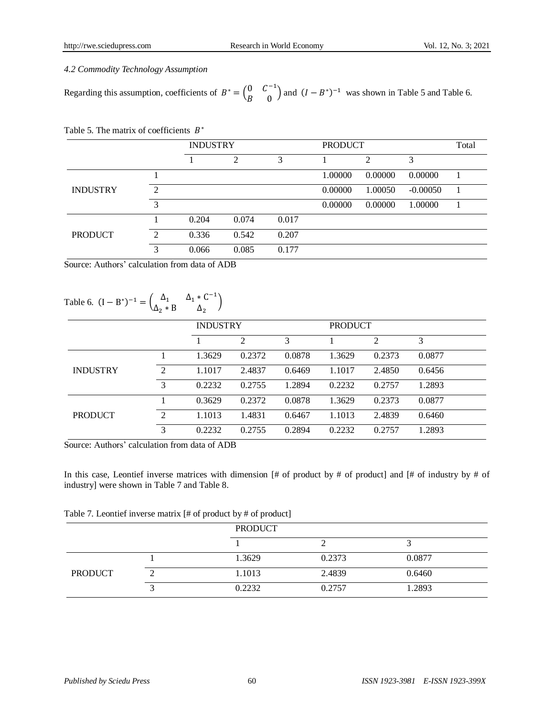# *4.2 Commodity Technology Assumption*

Regarding this assumption, coefficients of  $B^* = \begin{pmatrix} 0 & C^- \\ D & 0 \end{pmatrix}$  $\begin{pmatrix} 0 & C \\ B & 0 \end{pmatrix}$  and  $(I - B^*)^{-1}$  was shown in Table 5 and Table 6.

Table 5. The matrix of coefficients  $B^*$ 

|                 |   | <b>INDUSTRY</b> |       |       | <b>PRODUCT</b> |                | Total      |  |
|-----------------|---|-----------------|-------|-------|----------------|----------------|------------|--|
|                 |   |                 | 2     | 3     |                | $\overline{2}$ | 3          |  |
|                 |   |                 |       |       | 1.00000        | 0.00000        | 0.00000    |  |
| <b>INDUSTRY</b> | 2 |                 |       |       | 0.00000        | 1.00050        | $-0.00050$ |  |
|                 | 3 |                 |       |       | 0.00000        | 0.00000        | 1.00000    |  |
|                 |   | 0.204           | 0.074 | 0.017 |                |                |            |  |
| <b>PRODUCT</b>  | 2 | 0.336           | 0.542 | 0.207 |                |                |            |  |
|                 | 3 | 0.066           | 0.085 | 0.177 |                |                |            |  |

Source: Authors' calculation from data of ADB

# Table 6.  $(I - B^*)^{-1} = \begin{pmatrix} \Delta_1 & \Delta_1 * C^- \\ A & B & A \end{pmatrix}$  $\Delta_1$   $\Delta_1$   $\Delta_2$   $\Delta_2$   $\Delta_3$

|                 |                |        | <b>INDUSTRY</b> |        |        | <b>PRODUCT</b> |        |  |
|-----------------|----------------|--------|-----------------|--------|--------|----------------|--------|--|
|                 |                |        | 2               | 3      |        | 2              | 3      |  |
|                 |                | 1.3629 | 0.2372          | 0.0878 | 1.3629 | 0.2373         | 0.0877 |  |
| <b>INDUSTRY</b> | $\mathfrak{D}$ | 1.1017 | 2.4837          | 0.6469 | 1.1017 | 2.4850         | 0.6456 |  |
|                 | 3              | 0.2232 | 0.2755          | 1.2894 | 0.2232 | 0.2757         | 1.2893 |  |
|                 |                | 0.3629 | 0.2372          | 0.0878 | 1.3629 | 0.2373         | 0.0877 |  |
| <b>PRODUCT</b>  | $\mathfrak{D}$ | 1.1013 | 1.4831          | 0.6467 | 1.1013 | 2.4839         | 0.6460 |  |
|                 | 3              | 0.2232 | 0.2755          | 0.2894 | 0.2232 | 0.2757         | 1.2893 |  |

Source: Authors' calculation from data of ADB

In this case, Leontief inverse matrices with dimension  $[# 0f]$  product by  $# 0f$  product] and  $[# 0f]$  industry by  $# 0f$ industry] were shown in Table 7 and Table 8.

| Table 7. Leontief inverse matrix [# of product by # of product] |  |  |  |
|-----------------------------------------------------------------|--|--|--|
|                                                                 |  |  |  |

|                | <b>PRODUCT</b> |        |        |  |
|----------------|----------------|--------|--------|--|
|                |                |        |        |  |
|                | 1.3629         | 0.2373 | 0.0877 |  |
| <b>PRODUCT</b> | 1.1013         | 2.4839 | 0.6460 |  |
|                | 0.2232         | 0.2757 | 1.2893 |  |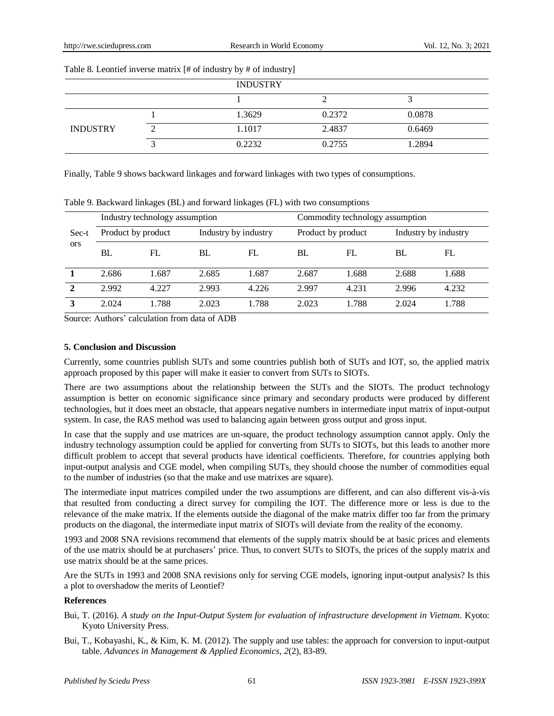| Table of Econtrol inverse matrix [n of measury by n of measury] |  |                 |        |        |  |
|-----------------------------------------------------------------|--|-----------------|--------|--------|--|
|                                                                 |  | <b>INDUSTRY</b> |        |        |  |
|                                                                 |  |                 |        |        |  |
|                                                                 |  | 1.3629          | 0.2372 | 0.0878 |  |
| <b>INDUSTRY</b>                                                 |  | 1.1017          | 2.4837 | 0.6469 |  |
|                                                                 |  | 0.2232          | 0.2755 | 1.2894 |  |
|                                                                 |  |                 |        |        |  |

Table 8. Leontief inverse matrix [# of industry by # of industry]

Finally, Table 9 shows backward linkages and forward linkages with two types of consumptions.

Sec-t ors Industry technology assumption Commodity technology assumption Product by product Industry by industry Product by product Industry by industry BL FL BL FL BL FL BL FL **1** 2.686 1.687 2.685 1.687 2.687 1.688 2.688 1.688 **2** 2.992 4.227 2.993 4.226 2.997 4.231 2.996 4.232 **3** 2.024 1.788 2.023 1.788 2.023 1.788 2.024 1.788

Table 9. Backward linkages (BL) and forward linkages (FL) with two consumptions

Source: Authors' calculation from data of ADB

# **5. Conclusion and Discussion**

Currently, some countries publish SUTs and some countries publish both of SUTs and IOT, so, the applied matrix approach proposed by this paper will make it easier to convert from SUTs to SIOTs.

There are two assumptions about the relationship between the SUTs and the SIOTs. The product technology assumption is better on economic significance since primary and secondary products were produced by different technologies, but it does meet an obstacle, that appears negative numbers in intermediate input matrix of input-output system. In case, the RAS method was used to balancing again between gross output and gross input.

In case that the supply and use matrices are un-square, the product technology assumption cannot apply. Only the industry technology assumption could be applied for converting from SUTs to SIOTs, but this leads to another more difficult problem to accept that several products have identical coefficients. Therefore, for countries applying both input-output analysis and CGE model, when compiling SUTs, they should choose the number of commodities equal to the number of industries (so that the make and use matrixes are square).

The intermediate input matrices compiled under the two assumptions are different, and can also different vis-à-vis that resulted from conducting a direct survey for compiling the IOT. The difference more or less is due to the relevance of the make matrix. If the elements outside the diagonal of the make matrix differ too far from the primary products on the diagonal, the intermediate input matrix of SIOTs will deviate from the reality of the economy.

1993 and 2008 SNA revisions recommend that elements of the supply matrix should be at basic prices and elements of the use matrix should be at purchasers' price. Thus, to convert SUTs to SIOTs, the prices of the supply matrix and use matrix should be at the same prices.

Are the SUTs in 1993 and 2008 SNA revisions only for serving CGE models, ignoring input-output analysis? Is this a plot to overshadow the merits of Leontief?

# **References**

- Bui, T. (2016). *A study on the Input-Output System for evaluation of infrastructure development in Vietnam*. Kyoto: Kyoto University Press.
- Bui, T., Kobayashi, K., & Kim, K. M. (2012). The supply and use tables: the approach for conversion to input-output table. *Advances in Management & Applied Economics*, *2*(2), 83-89.